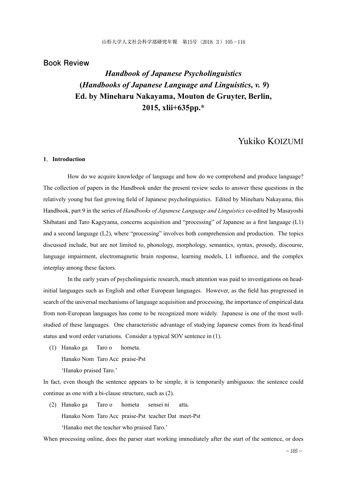## **Book Review**

# *Handbook of Japanese Psycholinguistics*  **(***Handbooks of Japanese Language and Linguistics, v. 9***) Ed. by Mineharu Nakayama, Mouton de Gruyter, Berlin, 2015, xlii+635pp.\***

## Yukiko KOIZUMI

## **1**.**Introduction**

 How do we acquire knowledge of language and how do we comprehend and produce language? The collection of papers in the Handbook under the present review seeks to answer these questions in the relatively young but fast growing field of Japanese psycholinguistics. Edited by Mineharu Nakayama, this Handbook, part 9 in the series of *Handbooks of Japanese Language and Linguistics* co-edited by Masayoshi Shibatani and Taro Kageyama, concerns acquisition and "processing" of Japanese as a first language (L1) and a second language (L2), where "processing" involves both comprehension and production. The topics discussed include, but are not limited to, phonology, morphology, semantics, syntax, prosody, discourse, language impairment, electromagnetic brain response, learning models, L1 influence, and the complex interplay among these factors.

 In the early years of psycholinguistic research, much attention was paid to investigations on headinitial languages such as English and other European languages. However, as the field has progressed in search of the universal mechanisms of language acquisition and processing, the importance of empirical data from non-European languages has come to be recognized more widely. Japanese is one of the most wellstudied of these languages. One characteristic advantage of studying Japanese comes from its head-final status and word order variations. Consider a typical SOV sentence in (1).

(1) Hanako ga Taro o hometa.

Hanako Nom Taro Acc praise-Pst

'Hanako praised Taro.'

In fact, even though the sentence appears to be simple, it is temporarily ambiguous: the sentence could continue as one with a bi-clause structure, such as (2).

(2) Hanako ga Taro o hometa sensei ni atta. Hanako Nom Taro Acc praise-Pst teacher Dat meet-Pst 'Hanako met the teacher who praised Taro.'

When processing online, does the parser start working immediately after the start of the sentence, or does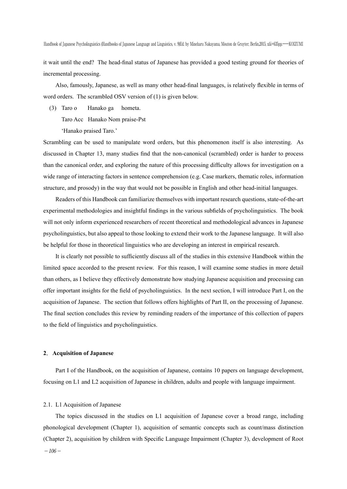it wait until the end? The head-final status of Japanese has provided a good testing ground for theories of incremental processing.

 Also, famously, Japanese, as well as many other head-final languages, is relatively flexible in terms of word orders. The scrambled OSV version of (1) is given below.

(3) Taro o Hanako ga hometa.

Taro Acc Hanako Nom praise-Pst

'Hanako praised Taro.'

Scrambling can be used to manipulate word orders, but this phenomenon itself is also interesting. As discussed in Chapter 13, many studies find that the non-canonical (scrambled) order is harder to process than the canonical order, and exploring the nature of this processing difficulty allows for investigation on a wide range of interacting factors in sentence comprehension (e.g. Case markers, thematic roles, information structure, and prosody) in the way that would not be possible in English and other head-initial languages.

 Readers of this Handbook can familiarize themselves with important research questions, state-of-the-art experimental methodologies and insightful findings in the various subfields of psycholinguistics. The book will not only inform experienced researchers of recent theoretical and methodological advances in Japanese psycholinguistics, but also appeal to those looking to extend their work to the Japanese language. It will also be helpful for those in theoretical linguistics who are developing an interest in empirical research.

 It is clearly not possible to sufficiently discuss all of the studies in this extensive Handbook within the limited space accorded to the present review. For this reason, I will examine some studies in more detail than others, as I believe they effectively demonstrate how studying Japanese acquisition and processing can offer important insights for the field of psycholinguistics. In the next section, I will introduce Part I, on the acquisition of Japanese. The section that follows offers highlights of Part II, on the processing of Japanese. The final section concludes this review by reminding readers of the importance of this collection of papers to the field of linguistics and psycholinguistics.

## **2**.**Acquisition of Japanese**

 Part I of the Handbook, on the acquisition of Japanese, contains 10 papers on language development, focusing on L1 and L2 acquisition of Japanese in children, adults and people with language impairment.

#### 2.1. L1 Acquisition of Japanese

 The topics discussed in the studies on L1 acquisition of Japanese cover a broad range, including phonological development (Chapter 1), acquisition of semantic concepts such as count/mass distinction (Chapter 2), acquisition by children with Specific Language Impairment (Chapter 3), development of Root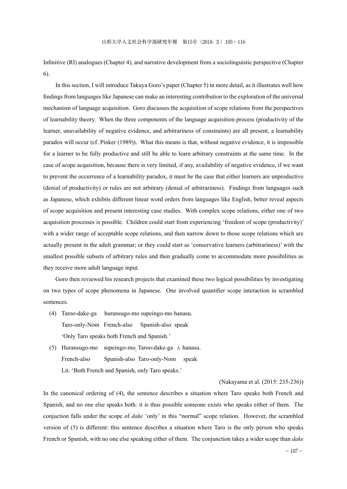Infinitive (RI) analogues (Chapter 4), and narrative development from a sociolinguistic perspective (Chapter 6).

 In this section, I will introduce Takuya Goro's paper (Chapter 5) in more detail, as it illustrates well how findings from languages like Japanese can make an interesting contribution to the exploration of the universal mechanism of language acquisition. Goro discusses the acquisition of scope relations from the perspectives of learnability theory. When the three components of the language acquisition process (productivity of the learner, unavailability of negative evidence, and arbitrariness of constraints) are all present, a learnability paradox will occur (cf. Pinker (1989)). What this means is that, without negative evidence, it is impossible for a learner to be fully productive and still be able to learn arbitrary constraints at the same time. In the case of scope acquisition, because there is very limited, if any, availability of negative evidence, if we want to prevent the occurrence of a learnability paradox, it must be the case that either learners are unproductive (denial of productivity) or rules are not arbitrary (denial of arbitrariness). Findings from languages such as Japanese, which exhibits different linear word orders from languages like English, better reveal aspects of scope acquisition and present interesting case studies. With complex scope relations, either one of two acquisition processes is possible. Children could start from experiencing 'freedom of scope (productivity)' with a wider range of acceptable scope relations, and then narrow down to those scope relations which are actually present in the adult grammar; or they could start as 'conservative learners (arbitrariness)' with the smallest possible subsets of arbitrary rules and then gradually come to accommodate more possibilities as they receive more adult language input.

 Goro then reviewed his research projects that examined these two logical possibilities by investigating on two types of scope phenomena in Japanese. One involved quantifier scope interaction in scrambled sentences.

- (4) Taroo-dake-ga huransugo-mo supeingo-mo hanasu. Taro-only-Nom French-also Spanish-also speak 'Only Taro speaks both French and Spanish.'
- (5) Huransugo-mo supeingo-mo<sub>i</sub> Taroo-dake-ga  $t_i$  hanasu. French-also Spanish-also Taro-only-Nom speak Lit. 'Both French and Spanish, only Taro speaks.'

## (Nakayama et al. (2015: 235-236))

In the canonical ordering of (4), the sentence describes a situation where Taro speaks both French and Spanish, and no one else speaks both: it is thus possible someone exists who speaks either of them. The conjuction falls under the scope of *dake* 'only' in this "normal" scope relation. However, the scrambled version of (5) is different: this sentence describes a situation where Taro is the only person who speaks French or Spanish, with no one else speaking either of them. The conjunction takes a wider scope than *dake*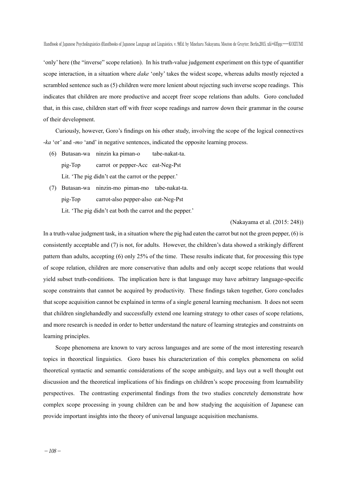'only' here (the "inverse" scope relation). In his truth-value judgement experiment on this type of quantifier scope interaction, in a situation where *dake* 'only' takes the widest scope, whereas adults mostly rejected a scrambled sentence such as (5) children were more lenient about rejecting such inverse scope readings. This indicates that children are more productive and accept freer scope relations than adults. Goro concluded that, in this case, children start off with freer scope readings and narrow down their grammar in the course of their development.

 Curiously, however, Goro's findings on his other study, involving the scope of the logical connectives -*ka* 'or' and -*mo* 'and' in negative sentences, indicated the opposite learning process.

- (6) Butasan-wa ninzin ka piman-o tabe-nakat-ta. pig-Top carrot or pepper-Acc eat-Neg-Pst Lit. 'The pig didn't eat the carrot or the pepper.'
- (7) Butasan-wa ninzin-mo piman-mo tabe-nakat-ta. pig-Top carrot-also pepper-also eat-Neg-Pst
	- Lit. 'The pig didn't eat both the carrot and the pepper.'

(Nakayama et al. (2015: 248))

In a truth-value judgment task, in a situation where the pig had eaten the carrot but not the green pepper, (6) is consistently acceptable and (7) is not, for adults. However, the children's data showed a strikingly different pattern than adults, accepting (6) only 25% of the time. These results indicate that, for processing this type of scope relation, children are more conservative than adults and only accept scope relations that would yield subset truth-conditions. The implication here is that language may have arbitrary language-specific scope constraints that cannot be acquired by productivity. These findings taken together, Goro concludes that scope acquisition cannot be explained in terms of a single general learning mechanism. It does not seem that children singlehandedly and successfully extend one learning strategy to other cases of scope relations, and more research is needed in order to better understand the nature of learning strategies and constraints on learning principles.

 Scope phenomena are known to vary across languages and are some of the most interesting research topics in theoretical linguistics. Goro bases his characterization of this complex phenomena on solid theoretical syntactic and semantic considerations of the scope ambiguity, and lays out a well thought out discussion and the theoretical implications of his findings on children's scope processing from learnability perspectives. The contrasting experimental findings from the two studies concretely demonstrate how complex scope processing in young children can be and how studying the acquisition of Japanese can provide important insights into the theory of universal language acquisition mechanisms.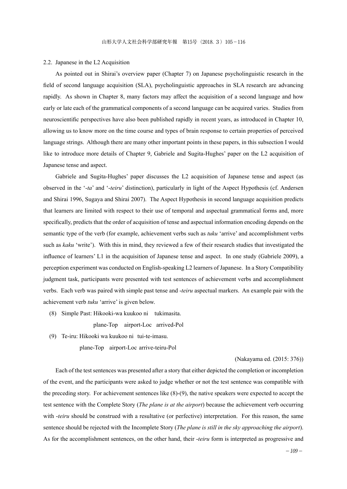#### 2.2. Japanese in the L2 Acquisition

 As pointed out in Shirai's overview paper (Chapter 7) on Japanese psycholinguistic research in the field of second language acquisition (SLA), psycholinguistic approaches in SLA research are advancing rapidly. As shown in Chapter 8, many factors may affect the acquisition of a second language and how early or late each of the grammatical components of a second language can be acquired varies. Studies from neuroscientific perspectives have also been published rapidly in recent years, as introduced in Chapter 10, allowing us to know more on the time course and types of brain response to certain properties of perceived language strings. Although there are many other important points in these papers, in this subsection I would like to introduce more details of Chapter 9, Gabriele and Sugita-Hughes' paper on the L2 acquisition of Japanese tense and aspect.

 Gabriele and Sugita-Hughes' paper discusses the L2 acquisition of Japanese tense and aspect (as observed in the '-*ta*' and '-*teiru*' distinction), particularly in light of the Aspect Hypothesis (cf. Andersen and Shirai 1996, Sugaya and Shirai 2007). The Aspect Hypothesis in second language acquisition predicts that learners are limited with respect to their use of temporal and aspectual grammatical forms and, more specifically, predicts that the order of acquisition of tense and aspectual information encoding depends on the semantic type of the verb (for example, achievement verbs such as *tuku* 'arrive' and accomplishment verbs such as *kaku* 'write'). With this in mind, they reviewed a few of their research studies that investigated the influence of learners' L1 in the acquisition of Japanese tense and aspect. In one study (Gabriele 2009), a perception experiment was conducted on English-speaking L2 learners of Japanese. In a Story Compatibility judgment task, participants were presented with test sentences of achievement verbs and accomplishment verbs. Each verb was paired with simple past tense and -*teiru* aspectual markers. An example pair with the achievement verb *tuku* 'arrive' is given below.

(8) Simple Past: Hikooki-wa kuukoo ni tukimasita.

plane-Top airport-Loc arrived-Pol

(9) Te-iru: Hikooki wa kuukoo ni tui-te-imasu.

plane-Top airport-Loc arrive-teiru-Pol

### (Nakayama ed. (2015: 376))

 Each of the test sentences was presented after a story that either depicted the completion or incompletion of the event, and the participants were asked to judge whether or not the test sentence was compatible with the preceding story. For achievement sentences like (8)-(9), the native speakers were expected to accept the test sentence with the Complete Story (*The plane is at the airport*) because the achievement verb occurring with *-teiru* should be construed with a resultative (or perfective) interpretation. For this reason, the same sentence should be rejected with the Incomplete Story (*The plane is still in the sky approaching the airport*). As for the accomplishment sentences, on the other hand, their -*teiru* form is interpreted as progressive and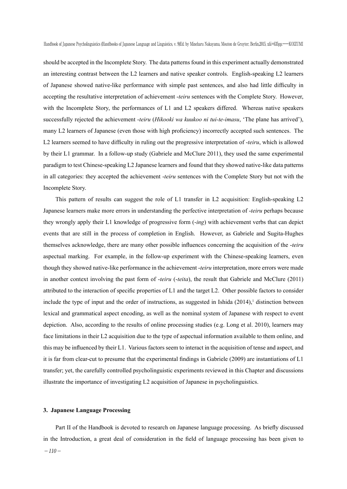should be accepted in the Incomplete Story. The data patterns found in this experiment actually demonstrated an interesting contrast between the L2 learners and native speaker controls. English-speaking L2 learners of Japanese showed native-like performance with simple past sentences, and also had little difficulty in accepting the resultative interpretation of achievement -*teiru* sentences with the Complete Story. However, with the Incomplete Story, the performances of L1 and L2 speakers differed. Whereas native speakers successfully rejected the achievement -*teiru* (*Hikooki wa kuukoo ni tui-te-imasu*, 'The plane has arrived'), many L2 learners of Japanese (even those with high proficiency) incorrectly accepted such sentences. The L2 learners seemed to have difficulty in ruling out the progressive interpretation of -*teiru*, which is allowed by their L1 grammar. In a follow-up study (Gabriele and McClure 2011), they used the same experimental paradigm to test Chinese-speaking L2 Japanese learners and found that they showed native-like data patterns in all categories: they accepted the achievement -*teiru* sentences with the Complete Story but not with the Incomplete Story.

 This pattern of results can suggest the role of L1 transfer in L2 acquisition: English-speaking L2 Japanese learners make more errors in understanding the perfective interpretation of -*teiru* perhaps because they wrongly apply their L1 knowledge of progressive form (-*ing*) with achievement verbs that can depict events that are still in the process of completion in English. However, as Gabriele and Sugita-Hughes themselves acknowledge, there are many other possible influences concerning the acquisition of the -*teiru*  aspectual marking. For example, in the follow-up experiment with the Chinese-speaking learners, even though they showed native-like performance in the achievement -*teiru* interpretation, more errors were made in another context involving the past form of -*teiru* (-*teita*), the result that Gabriele and McClure (2011) attributed to the interaction of specific properties of L1 and the target L2. Other possible factors to consider include the type of input and the order of instructions, as suggested in Ishida  $(2014)$ ,<sup>1</sup> distinction between lexical and grammatical aspect encoding, as well as the nominal system of Japanese with respect to event depiction. Also, according to the results of online processing studies (e.g. Long et al. 2010), learners may face limitations in their L2 acquisition due to the type of aspectual information available to them online, and this may be influenced by their L1. Various factors seem to interact in the acquisition of tense and aspect, and it is far from clear-cut to presume that the experimental findings in Gabriele (2009) are instantiations of L1 transfer; yet, the carefully controlled psycholinguistic experiments reviewed in this Chapter and discussions illustrate the importance of investigating L2 acquisition of Japanese in psycholinguistics.

## **3. Japanese Language Processing**

 Part II of the Handbook is devoted to research on Japanese language processing. As briefly discussed in the Introduction, a great deal of consideration in the field of language processing has been given to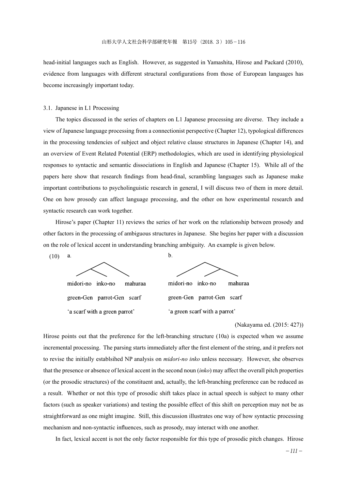head-initial languages such as English. However, as suggested in Yamashita, Hirose and Packard (2010), evidence from languages with different structural configurations from those of European languages has become increasingly important today.

## 3.1. Japanese in L1 Processing

 The topics discussed in the series of chapters on L1 Japanese processing are diverse. They include a view of Japanese language processing from a connectionist perspective (Chapter 12), typological differences in the processing tendencies of subject and object relative clause structures in Japanese (Chapter 14), and an overview of Event Related Potential (ERP) methodologies, which are used in identifying physiological responses to syntactic and semantic dissociations in English and Japanese (Chapter 15). While all of the papers here show that research findings from head-final, scrambling languages such as Japanese make important contributions to psycholinguistic research in general, I will discuss two of them in more detail. One on how prosody can affect language processing, and the other on how experimental research and syntactic research can work together.

 Hirose's paper (Chapter 11) reviews the series of her work on the relationship between prosody and other factors in the processing of ambiguous structures in Japanese. She begins her paper with a discussion on the role of lexical accent in understanding branching ambiguity. An example is given below.

 $h$ 

(10) a.



midori-no inko-no mahuraa green-Gen parrot-Gen scarf 'a scarf with a green parrot'

midori-no inko-no mahuraa green-Gen parrot-Gen scarf 'a green scarf with a parrot'

## (Nakayama ed. (2015: 427))

Hirose points out that the preference for the left-branching structure (10a) is expected when we assume incremental processing. The parsing starts immediately after the first element of the string, and it prefers not to revise the initially establsihed NP analysis on *midori-no inko* unless necessary. However, she observes that the presence or absence of lexical accent in the second noun (*inko*) may affect the overall pitch properties (or the prosodic structures) of the constituent and, actually, the left-branching preference can be reduced as a result. Whether or not this type of prosodic shift takes place in actual speech is subject to many other factors (such as speaker variations) and testing the possible effect of this shift on perception may not be as straightforward as one might imagine. Still, this discussion illustrates one way of how syntactic processing mechanism and non-syntactic influences, such as prosody, may interact with one another.

In fact, lexical accent is not the only factor responsible for this type of prosodic pitch changes. Hirose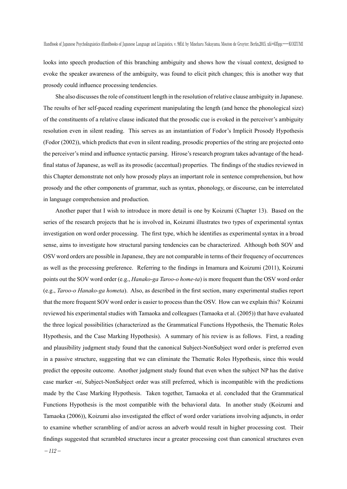looks into speech production of this branching ambiguity and shows how the visual context, designed to evoke the speaker awareness of the ambiguity, was found to elicit pitch changes; this is another way that prosody could influence processing tendencies.

 She also discusses the role of constituent length in the resolution of relative clause ambiguity in Japanese. The results of her self-paced reading experiment manipulating the length (and hence the phonological size) of the constituents of a relative clause indicated that the prosodic cue is evoked in the perceiver's ambiguity resolution even in silent reading. This serves as an instantiation of Fodor's Implicit Prosody Hypothesis (Fodor (2002)), which predicts that even in silent reading, prosodic properties of the string are projected onto the perceiver's mind and influence syntactic parsing. Hirose's research program takes advantage of the headfinal status of Japanese, as well as its prosodic (accentual) properties. The findings of the studies reviewed in this Chapter demonstrate not only how prosody plays an important role in sentence comprehension, but how prosody and the other components of grammar, such as syntax, phonology, or discourse, can be interrelated in language comprehension and production.

 Another paper that I wish to introduce in more detail is one by Koizumi (Chapter 13). Based on the series of the research projects that he is involved in, Koizumi illustrates two types of experimental syntax investigation on word order processing. The first type, which he identifies as experimental syntax in a broad sense, aims to investigate how structural parsing tendencies can be characterized. Although both SOV and OSV word orders are possible in Japanese, they are not comparable in terms of their frequency of occurrences as well as the processing preference. Referring to the findings in Imamura and Koizumi (2011), Koizumi points out the SOV word order (e.g., *Hanako-ga Taroo-o home-ta*) is more frequent than the OSV word order (e.g., *Taroo-o Hanako-ga hometa*). Also, as described in the first section, many experimental studies report that the more frequent SOV word order is easier to process than the OSV. How can we explain this? Koizumi reviewed his experimental studies with Tamaoka and colleagues (Tamaoka et al. (2005)) that have evaluated the three logical possibilities (characterized as the Grammatical Functions Hypothesis, the Thematic Roles Hypothesis, and the Case Marking Hypothesis). A summary of his review is as follows. First, a reading and plausibility judgment study found that the canonical Subject-NonSubject word order is preferred even in a passive structure, suggesting that we can eliminate the Thematic Roles Hypothesis, since this would predict the opposite outcome. Another judgment study found that even when the subject NP has the dative case marker -*ni*, Subject-NonSubject order was still preferred, which is incompatible with the predictions made by the Case Marking Hypothesis. Taken together, Tamaoka et al. concluded that the Grammatical Functions Hypothesis is the most compatible with the behavioral data. In another study (Koizumi and Tamaoka (2006)), Koizumi also investigated the effect of word order variations involving adjuncts, in order to examine whether scrambling of and/or across an adverb would result in higher processing cost. Their findings suggested that scrambled structures incur a greater processing cost than canonical structures even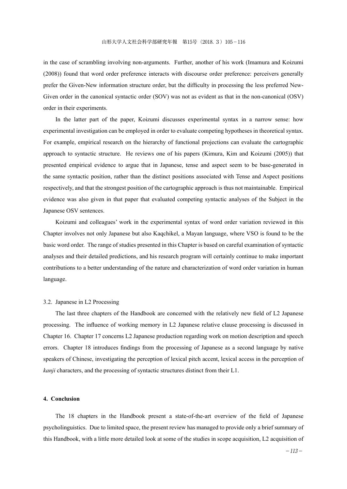in the case of scrambling involving non-arguments. Further, another of his work (Imamura and Koizumi (2008)) found that word order preference interacts with discourse order preference: perceivers generally prefer the Given-New information structure order, but the difficulty in processing the less preferred New-Given order in the canonical syntactic order (SOV) was not as evident as that in the non-canonical (OSV) order in their experiments.

 In the latter part of the paper, Koizumi discusses experimental syntax in a narrow sense: how experimental investigation can be employed in order to evaluate competing hypotheses in theoretical syntax. For example, empirical research on the hierarchy of functional projections can evaluate the cartographic approach to syntactic structure. He reviews one of his papers (Kimura, Kim and Koizumi (2005)) that presented empirical evidence to argue that in Japanese, tense and aspect seem to be base-generated in the same syntactic position, rather than the distinct positions associated with Tense and Aspect positions respectively, and that the strongest position of the cartographic approach is thus not maintainable. Empirical evidence was also given in that paper that evaluated competing syntactic analyses of the Subject in the Japanese OSV sentences.

 Koizumi and colleagues' work in the experimental syntax of word order variation reviewed in this Chapter involves not only Japanese but also Kaqchikel, a Mayan language, where VSO is found to be the basic word order. The range of studies presented in this Chapter is based on careful examination of syntactic analyses and their detailed predictions, and his research program will certainly continue to make important contributions to a better understanding of the nature and characterization of word order variation in human language.

#### 3.2. Japanese in L2 Processing

 The last three chapters of the Handbook are concerned with the relatively new field of L2 Japanese processing. The influence of working memory in L2 Japanese relative clause processing is discussed in Chapter 16. Chapter 17 concerns L2 Japanese production regarding work on motion description and speech errors. Chapter 18 introduces findings from the processing of Japanese as a second language by native speakers of Chinese, investigating the perception of lexical pitch accent, lexical access in the perception of *kanji* characters, and the processing of syntactic structures distinct from their L1.

#### **4. Conclusion**

 The 18 chapters in the Handbook present a state-of-the-art overview of the field of Japanese psycholinguistics. Due to limited space, the present review has managed to provide only a brief summary of this Handbook, with a little more detailed look at some of the studies in scope acquisition, L2 acquisition of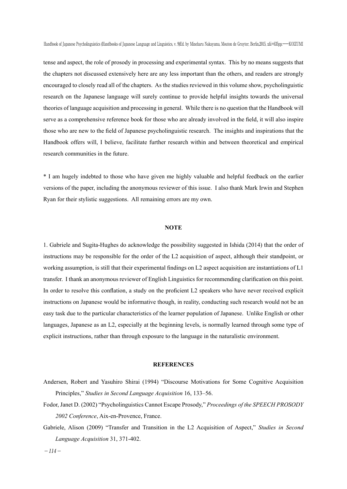tense and aspect, the role of prosody in processing and experimental syntax. This by no means suggests that the chapters not discussed extensively here are any less important than the others, and readers are strongly encouraged to closely read all of the chapters. As the studies reviewed in this volume show, psycholinguistic research on the Japanese language will surely continue to provide helpful insights towards the universal theories of language acquisition and processing in general. While there is no question that the Handbook will serve as a comprehensive reference book for those who are already involved in the field, it will also inspire those who are new to the field of Japanese psycholinguistic research. The insights and inspirations that the Handbook offers will, I believe, facilitate further research within and between theoretical and empirical research communities in the future.

\* I am hugely indebted to those who have given me highly valuable and helpful feedback on the earlier versions of the paper, including the anonymous reviewer of this issue. I also thank Mark Irwin and Stephen Ryan for their stylistic suggestions. All remaining errors are my own.

## **NOTE**

1. Gabriele and Sugita-Hughes do acknowledge the possibility suggested in Ishida (2014) that the order of instructions may be responsible for the order of the L2 acquisition of aspect, although their standpoint, or working assumption, is still that their experimental findings on L2 aspect acquisition are instantiations of L1 transfer. I thank an anonymous reviewer of English Linguistics for recommending clarification on this point. In order to resolve this conflation, a study on the proficient L2 speakers who have never received explicit instructions on Japanese would be informative though, in reality, conducting such research would not be an easy task due to the particular characteristics of the learner population of Japanese. Unlike English or other languages, Japanese as an L2, especially at the beginning levels, is normally learned through some type of explicit instructions, rather than through exposure to the language in the naturalistic environment.

#### **REFERENCES**

- Andersen, Robert and Yasuhiro Shirai (1994) "Discourse Motivations for Some Cognitive Acquisition Principles," *Studies in Second Language Acquisition* 16, 133–56.
- Fodor, Janet D. (2002) "Psycholinguistics Cannot Escape Prosody," *Proceedings of the SPEECH PROSODY 2002 Conference*, Aix-en-Provence, France.
- Gabriele, Alison (2009) "Transfer and Transition in the L2 Acquisition of Aspect," *Studies in Second Language Acquisition* 31, 371-402.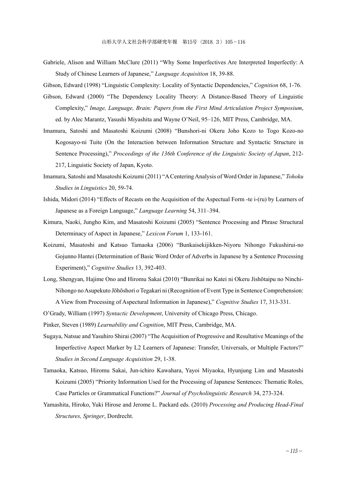- Gabriele, Alison and William McClure (2011) "Why Some Imperfectives Are Interpreted Imperfectly: A Study of Chinese Learners of Japanese," *Language Acquisition* 18, 39-88.
- Gibson, Edward (1998) "Linguistic Complexity: Locality of Syntactic Dependencies," *Cognition* 68, 1-76.
- Gibson, Edward (2000) "The Dependency Locality Theory: A Distance-Based Theory of Linguistic Complexity," *Image, Language, Brain: Papers from the First Mind Articulation Project Symposium*, ed. by Alec Marantz, Yasushi Miyashita and Wayne O'Neil, 95–126, MIT Press, Cambridge, MA.
- Imamura, Satoshi and Masatoshi Koizumi (2008) "Bunshori-ni Okeru Joho Kozo to Togo Kozo-no Kogosayo-ni Tuite (On the Interaction between Information Structure and Syntactic Structure in Sentence Processing)," *Proceedings of the 136th Conference of the Linguistic Society of Japan*, 212- 217, Linguistic Society of Japan, Kyoto.
- Imamura, Satoshi and Masatoshi Koizumi (2011) "A Centering Analysis of Word Order in Japanese," *Tohoku Studies in Linguistics* 20, 59-74.
- Ishida, Midori (2014) "Effects of Recasts on the Acquisition of the Aspectual Form -te i-(ru) by Learners of Japanese as a Foreign Language," *Language Learning* 54, 311–394.
- Kimura, Naoki, Jungho Kim, and Masatoshi Koizumi (2005) "Sentence Processing and Phrase Structural Determinacy of Aspect in Japanese," *Lexicon Forum* 1, 133-161.
- Koizumi, Masatoshi and Katsuo Tamaoka (2006) "Bunkaisekijikken-Niyoru Nihongo Fukushirui-no Gojunno Hantei (Determination of Basic Word Order of Adverbs in Japanese by a Sentence Processing Experiment)," *Cognitive Studies* 13, 392-403.
- Long, Shengyan, Hajime Ono and Hiromu Sakai (2010) "Bunrikai no Katei ni Okeru Jishōtaipu no Ninchi-Nihongo no Asupekuto Jōhōshori o Tegakari ni (Recognition of Event Type in Sentence Comprehension:

A View from Processing of Aspectural Information in Japanese)," *Cognitive Studies* 17, 313-331.

O'Grady, William (1997) *Syntactic Development*, University of Chicago Press, Chicago.

Pinker, Steven (1989) *Learnability and Cognition*, MIT Press, Cambridge, MA.

- Sugaya, Natsue and Yasuhiro Shirai (2007) "The Acquisition of Progressive and Resultative Meanings of the Imperfective Aspect Marker by L2 Learners of Japanese: Transfer, Universals, or Multiple Factors?" *Studies in Second Language Acquisition* 29, 1-38.
- Tamaoka, Katsuo, Hiromu Sakai, Jun-ichiro Kawahara, Yayoi Miyaoka, Hyunjung Lim and Masatoshi Koizumi (2005) "Priority Information Used for the Processing of Japanese Sentences: Thematic Roles, Case Particles or Grammatical Functions?" *Journal of Psycholinguistic Research* 34, 273-324.
- Yamashita, Hiroko, Yuki Hirose and Jerome L. Packard eds. (2010) *Processing and Producing Head-Final Structures, Springer*, Dordrecht.